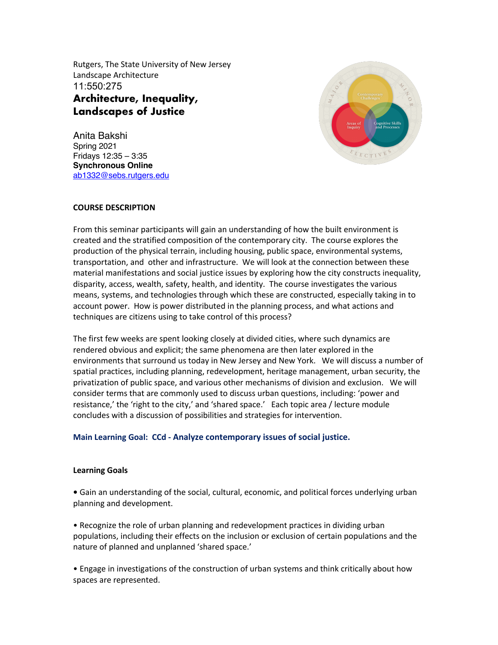Rutgers, The State University of New Jersey Landscape Architecture 11:550:275 **Architecture, Inequality, Landscapes of Justice** 

Anita Bakshi Spring 2021 Fridays 12:35 – 3:35 **Synchronous Online**  ab1332@sebs.rutgers.edu



## **COURSE DESCRIPTION**

From this seminar participants will gain an understanding of how the built environment is created and the stratified composition of the contemporary city. The course explores the production of the physical terrain, including housing, public space, environmental systems, transportation, and other and infrastructure. We will look at the connection between these material manifestations and social justice issues by exploring how the city constructs inequality, disparity, access, wealth, safety, health, and identity. The course investigates the various means, systems, and technologies through which these are constructed, especially taking in to account power. How is power distributed in the planning process, and what actions and techniques are citizens using to take control of this process?

The first few weeks are spent looking closely at divided cities, where such dynamics are rendered obvious and explicit; the same phenomena are then later explored in the environments that surround us today in New Jersey and New York. We will discuss a number of spatial practices, including planning, redevelopment, heritage management, urban security, the privatization of public space, and various other mechanisms of division and exclusion. We will consider terms that are commonly used to discuss urban questions, including: 'power and resistance,' the 'right to the city,' and 'shared space.' Each topic area / lecture module concludes with a discussion of possibilities and strategies for intervention.

#### **Main Learning Goal: CCd - Analyze contemporary issues of social justice.**

#### **Learning Goals**

**•** Gain an understanding of the social, cultural, economic, and political forces underlying urban planning and development.

• Recognize the role of urban planning and redevelopment practices in dividing urban populations, including their effects on the inclusion or exclusion of certain populations and the nature of planned and unplanned 'shared space.'

• Engage in investigations of the construction of urban systems and think critically about how spaces are represented.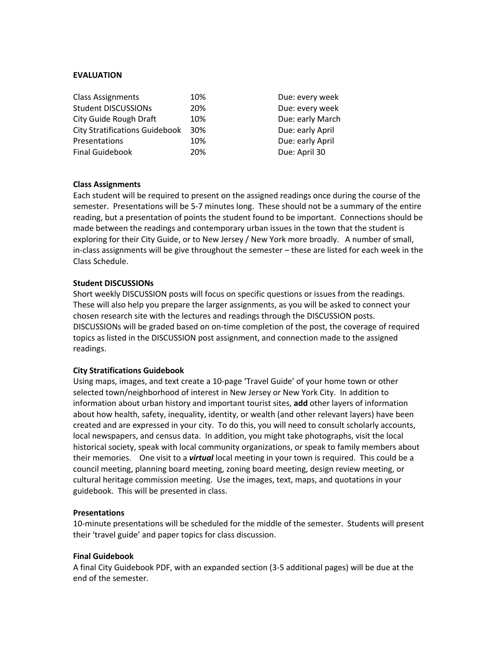## **EVALUATION**

| <b>Class Assignments</b>              | 10% | Due: every week  |
|---------------------------------------|-----|------------------|
| <b>Student DISCUSSIONs</b>            | 20% | Due: every week  |
| City Guide Rough Draft                | 10% | Due: early March |
| <b>City Stratifications Guidebook</b> | 30% | Due: early April |
| Presentations                         | 10% | Due: early April |
| <b>Final Guidebook</b>                | 20% | Due: April 30    |

## **Class Assignments**

Each student will be required to present on the assigned readings once during the course of the semester. Presentations will be 5-7 minutes long. These should not be a summary of the entire reading, but a presentation of points the student found to be important. Connections should be made between the readings and contemporary urban issues in the town that the student is exploring for their City Guide, or to New Jersey / New York more broadly. A number of small, in-class assignments will be give throughout the semester – these are listed for each week in the Class Schedule.

## **Student DISCUSSIONs**

Short weekly DISCUSSION posts will focus on specific questions or issues from the readings. These will also help you prepare the larger assignments, as you will be asked to connect your chosen research site with the lectures and readings through the DISCUSSION posts. DISCUSSIONs will be graded based on on-time completion of the post, the coverage of required topics as listed in the DISCUSSION post assignment, and connection made to the assigned readings.

#### **City Stratifications Guidebook**

Using maps, images, and text create a 10-page 'Travel Guide' of your home town or other selected town/neighborhood of interest in New Jersey or New York City. In addition to information about urban history and important tourist sites, **add** other layers of information about how health, safety, inequality, identity, or wealth (and other relevant layers) have been created and are expressed in your city. To do this, you will need to consult scholarly accounts, local newspapers, and census data. In addition, you might take photographs, visit the local historical society, speak with local community organizations, or speak to family members about their memories. One visit to a *virtual* local meeting in your town is required. This could be a council meeting, planning board meeting, zoning board meeting, design review meeting, or cultural heritage commission meeting. Use the images, text, maps, and quotations in your guidebook. This will be presented in class.

#### **Presentations**

10-minute presentations will be scheduled for the middle of the semester. Students will present their 'travel guide' and paper topics for class discussion.

#### **Final Guidebook**

A final City Guidebook PDF, with an expanded section (3-5 additional pages) will be due at the end of the semester.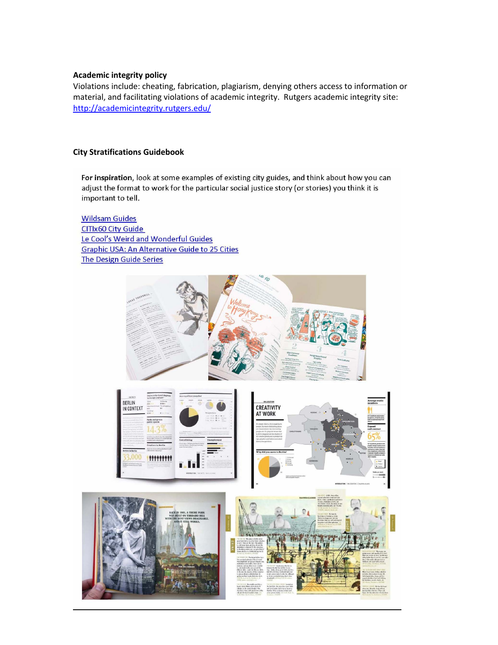## **Academic integrity policy**

Violations include: cheating, fabrication, plagiarism, denying others access to information or material, and facilitating violations of academic integrity. Rutgers academic integrity site: http://academicintegrity.rutgers.edu/

## **City Stratifications Guidebook**

For inspiration, look at some examples of existing city guides, and think about how you can adjust the format to work for the particular social justice story (or stories) you think it is important to tell.

**Wildsam Guides CITIx60 City Guide** Le Cool's Weird and Wonderful Guides **Graphic USA: An Alternative Guide to 25 Cities** The Design Guide Series

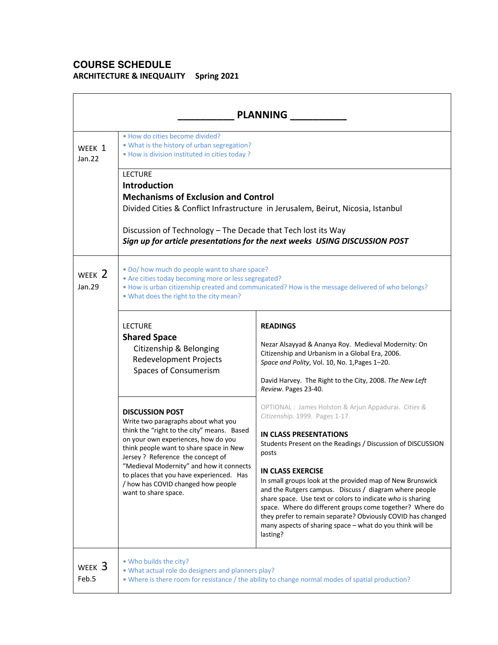# **COURSE SCHEDULE**

**ARCHITECTURE & INEQUALITY Spring 2021**

| <b>PLANNING</b>            |                                                                                                                                                                                                                                                                                                                                                                                          |                                                                                                                                                                                                                                                                                                                                                                                                                                                                                                                                                                                                                      |
|----------------------------|------------------------------------------------------------------------------------------------------------------------------------------------------------------------------------------------------------------------------------------------------------------------------------------------------------------------------------------------------------------------------------------|----------------------------------------------------------------------------------------------------------------------------------------------------------------------------------------------------------------------------------------------------------------------------------------------------------------------------------------------------------------------------------------------------------------------------------------------------------------------------------------------------------------------------------------------------------------------------------------------------------------------|
| WEEK 1<br>Jan.22           | . How do cities become divided?<br>. What is the history of urban segregation?<br>• How is division instituted in cities today ?                                                                                                                                                                                                                                                         |                                                                                                                                                                                                                                                                                                                                                                                                                                                                                                                                                                                                                      |
|                            | <b>LECTURE</b><br><b>Introduction</b><br><b>Mechanisms of Exclusion and Control</b>                                                                                                                                                                                                                                                                                                      | Divided Cities & Conflict Infrastructure in Jerusalem, Beirut, Nicosia, Istanbul                                                                                                                                                                                                                                                                                                                                                                                                                                                                                                                                     |
|                            | Discussion of Technology - The Decade that Tech lost its Way<br>Sign up for article presentations for the next weeks USING DISCUSSION POST                                                                                                                                                                                                                                               |                                                                                                                                                                                                                                                                                                                                                                                                                                                                                                                                                                                                                      |
| WEEK 2<br>Jan.29           | . Do/ how much do people want to share space?<br>• Are cities today becoming more or less segregated?<br>. How is urban citizenship created and communicated? How is the message delivered of who belongs?<br>. What does the right to the city mean?                                                                                                                                    |                                                                                                                                                                                                                                                                                                                                                                                                                                                                                                                                                                                                                      |
|                            | <b>LECTURE</b><br><b>Shared Space</b><br>Citizenship & Belonging<br><b>Redevelopment Projects</b><br>Spaces of Consumerism                                                                                                                                                                                                                                                               | <b>READINGS</b><br>Nezar Alsayyad & Ananya Roy. Medieval Modernity: On<br>Citizenship and Urbanism in a Global Era, 2006.<br>Space and Polity, Vol. 10, No. 1, Pages 1-20.<br>David Harvey. The Right to the City, 2008. The New Left<br>Review. Pages 23-40.                                                                                                                                                                                                                                                                                                                                                        |
|                            | <b>DISCUSSION POST</b><br>Write two paragraphs about what you<br>think the "right to the city" means. Based<br>on your own experiences, how do you<br>think people want to share space in New<br>Jersey ? Reference the concept of<br>"Medieval Modernity" and how it connects<br>to places that you have experienced. Has<br>/ how has COVID changed how people<br>want to share space. | OPTIONAL : James Holston & Arjun Appadurai. Cities &<br>Citizenship. 1999. Pages 1-17.<br><b>IN CLASS PRESENTATIONS</b><br>Students Present on the Readings / Discussion of DISCUSSION<br>posts<br><b>IN CLASS EXERCISE</b><br>In small groups look at the provided map of New Brunswick<br>and the Rutgers campus. Discuss / diagram where people<br>share space. Use text or colors to indicate who is sharing<br>space. Where do different groups come together? Where do<br>they prefer to remain separate? Obviously COVID has changed<br>many aspects of sharing space - what do you think will be<br>lasting? |
| WEEK <sub>3</sub><br>Feb.5 | . Who builds the city?<br>. What actual role do designers and planners play?                                                                                                                                                                                                                                                                                                             | . Where is there room for resistance / the ability to change normal modes of spatial production?                                                                                                                                                                                                                                                                                                                                                                                                                                                                                                                     |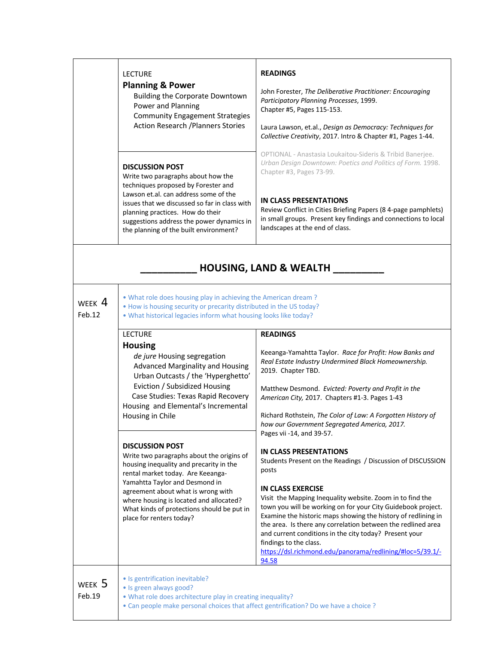|                         | <b>LECTURE</b><br><b>Planning &amp; Power</b><br><b>Building the Corporate Downtown</b><br>Power and Planning<br><b>Community Engagement Strategies</b><br><b>Action Research / Planners Stories</b>                                                                                                                                                                                                                                                                                                                                                                                                                            | <b>READINGS</b><br>John Forester, The Deliberative Practitioner: Encouraging<br>Participatory Planning Processes, 1999.<br>Chapter #5, Pages 115-153.<br>Laura Lawson, et.al., Design as Democracy: Techniques for<br>Collective Creativity, 2017. Intro & Chapter #1, Pages 1-44.                                                                                                                                                                                                                                                                                                                                                                                                                                                                                                                                                                                                            |
|-------------------------|---------------------------------------------------------------------------------------------------------------------------------------------------------------------------------------------------------------------------------------------------------------------------------------------------------------------------------------------------------------------------------------------------------------------------------------------------------------------------------------------------------------------------------------------------------------------------------------------------------------------------------|-----------------------------------------------------------------------------------------------------------------------------------------------------------------------------------------------------------------------------------------------------------------------------------------------------------------------------------------------------------------------------------------------------------------------------------------------------------------------------------------------------------------------------------------------------------------------------------------------------------------------------------------------------------------------------------------------------------------------------------------------------------------------------------------------------------------------------------------------------------------------------------------------|
|                         | <b>DISCUSSION POST</b><br>Write two paragraphs about how the<br>techniques proposed by Forester and<br>Lawson et.al. can address some of the<br>issues that we discussed so far in class with<br>planning practices. How do their<br>suggestions address the power dynamics in<br>the planning of the built environment?                                                                                                                                                                                                                                                                                                        | OPTIONAL - Anastasia Loukaitou-Sideris & Tribid Banerjee.<br>Urban Design Downtown: Poetics and Politics of Form. 1998.<br>Chapter #3, Pages 73-99.<br><b>IN CLASS PRESENTATIONS</b><br>Review Conflict in Cities Briefing Papers (8 4-page pamphlets)<br>in small groups. Present key findings and connections to local<br>landscapes at the end of class.                                                                                                                                                                                                                                                                                                                                                                                                                                                                                                                                   |
|                         |                                                                                                                                                                                                                                                                                                                                                                                                                                                                                                                                                                                                                                 | <b>HOUSING, LAND &amp; WEALTH</b>                                                                                                                                                                                                                                                                                                                                                                                                                                                                                                                                                                                                                                                                                                                                                                                                                                                             |
| week $\bm{4}$<br>Feb.12 | . What role does housing play in achieving the American dream?<br>. How is housing security or precarity distributed in the US today?<br>. What historical legacies inform what housing looks like today?                                                                                                                                                                                                                                                                                                                                                                                                                       |                                                                                                                                                                                                                                                                                                                                                                                                                                                                                                                                                                                                                                                                                                                                                                                                                                                                                               |
|                         | <b>LECTURE</b><br><b>Housing</b><br>de jure Housing segregation<br>Advanced Marginality and Housing<br>Urban Outcasts / the 'Hyperghetto'<br>Eviction / Subsidized Housing<br>Case Studies: Texas Rapid Recovery<br>Housing and Elemental's Incremental<br>Housing in Chile<br><b>DISCUSSION POST</b><br>Write two paragraphs about the origins of<br>housing inequality and precarity in the<br>rental market today. Are Keeanga-<br>Yamahtta Taylor and Desmond in<br>agreement about what is wrong with<br>where housing is located and allocated?<br>What kinds of protections should be put in<br>place for renters today? | <b>READINGS</b><br>Keeanga-Yamahtta Taylor. Race for Profit: How Banks and<br>Real Estate Industry Undermined Black Homeownership.<br>2019. Chapter TBD.<br>Matthew Desmond. Evicted: Poverty and Profit in the<br>American City, 2017. Chapters #1-3. Pages 1-43<br>Richard Rothstein, The Color of Law: A Forgotten History of<br>how our Government Segregated America, 2017.<br>Pages vii -14, and 39-57.<br>IN CLASS PRESENTATIONS<br>Students Present on the Readings / Discussion of DISCUSSION<br>posts<br><b>IN CLASS EXERCISE</b><br>Visit the Mapping Inequality website. Zoom in to find the<br>town you will be working on for your City Guidebook project.<br>Examine the historic maps showing the history of redlining in<br>the area. Is there any correlation between the redlined area<br>and current conditions in the city today? Present your<br>findings to the class. |
| week $5$<br>Feb.19      | • Is gentrification inevitable?<br>· Is green always good?<br>. What role does architecture play in creating inequality?<br>• Can people make personal choices that affect gentrification? Do we have a choice ?                                                                                                                                                                                                                                                                                                                                                                                                                | https://dsl.richmond.edu/panorama/redlining/#loc=5/39.1/-<br>94.58                                                                                                                                                                                                                                                                                                                                                                                                                                                                                                                                                                                                                                                                                                                                                                                                                            |
|                         |                                                                                                                                                                                                                                                                                                                                                                                                                                                                                                                                                                                                                                 |                                                                                                                                                                                                                                                                                                                                                                                                                                                                                                                                                                                                                                                                                                                                                                                                                                                                                               |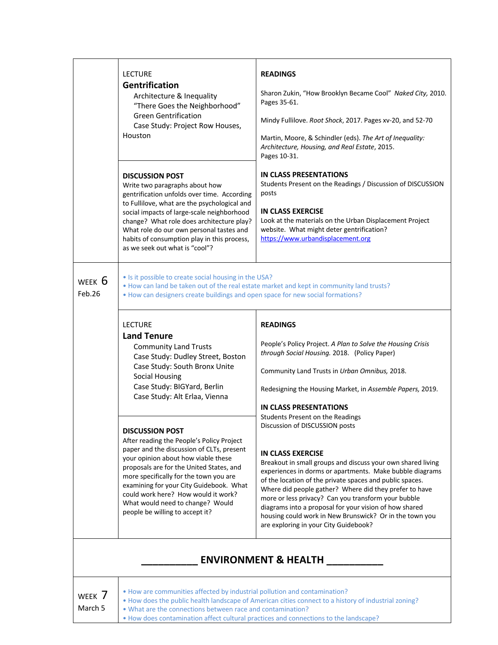|                                                                                                                                                                                                                       | <b>LECTURE</b><br><b>Gentrification</b><br>Architecture & Inequality<br>"There Goes the Neighborhood"<br><b>Green Gentrification</b><br>Case Study: Project Row Houses,<br>Houston                                                                                                                                                                                              | <b>READINGS</b><br>Sharon Zukin, "How Brooklyn Became Cool" Naked City, 2010.<br>Pages 35-61.<br>Mindy Fullilove. Root Shock, 2017. Pages xv-20, and 52-70<br>Martin, Moore, & Schindler (eds). The Art of Inequality:<br>Architecture, Housing, and Real Estate, 2015.<br>Pages 10-31.                                                                                                                                                                                                                                          |
|-----------------------------------------------------------------------------------------------------------------------------------------------------------------------------------------------------------------------|---------------------------------------------------------------------------------------------------------------------------------------------------------------------------------------------------------------------------------------------------------------------------------------------------------------------------------------------------------------------------------|----------------------------------------------------------------------------------------------------------------------------------------------------------------------------------------------------------------------------------------------------------------------------------------------------------------------------------------------------------------------------------------------------------------------------------------------------------------------------------------------------------------------------------|
|                                                                                                                                                                                                                       | <b>DISCUSSION POST</b><br>Write two paragraphs about how<br>gentrification unfolds over time. According<br>to Fullilove, what are the psychological and<br>social impacts of large-scale neighborhood<br>change? What role does architecture play?<br>What role do our own personal tastes and<br>habits of consumption play in this process,<br>as we seek out what is "cool"? | <b>IN CLASS PRESENTATIONS</b><br>Students Present on the Readings / Discussion of DISCUSSION<br>posts<br><b>IN CLASS EXERCISE</b><br>Look at the materials on the Urban Displacement Project<br>website. What might deter gentrification?<br>https://www.urbandisplacement.org                                                                                                                                                                                                                                                   |
| WEEK $6$<br>Feb.26                                                                                                                                                                                                    | • Is it possible to create social housing in the USA?<br>• How can designers create buildings and open space for new social formations?                                                                                                                                                                                                                                         | . How can land be taken out of the real estate market and kept in community land trusts?                                                                                                                                                                                                                                                                                                                                                                                                                                         |
|                                                                                                                                                                                                                       | <b>LECTURE</b><br><b>Land Tenure</b><br><b>Community Land Trusts</b><br>Case Study: Dudley Street, Boston<br>Case Study: South Bronx Unite<br><b>Social Housing</b><br>Case Study: BIGYard, Berlin<br>Case Study: Alt Erlaa, Vienna                                                                                                                                             | <b>READINGS</b><br>People's Policy Project. A Plan to Solve the Housing Crisis<br>through Social Housing. 2018. (Policy Paper)<br>Community Land Trusts in Urban Omnibus, 2018.<br>Redesigning the Housing Market, in Assemble Papers, 2019.<br><b>IN CLASS PRESENTATIONS</b><br>Students Present on the Readings                                                                                                                                                                                                                |
| <b>DISCUSSION POST</b><br>your opinion about how viable these<br>more specifically for the town you are<br>could work here? How would it work?<br>What would need to change? Would<br>people be willing to accept it? | After reading the People's Policy Project<br>paper and the discussion of CLTs, present<br>proposals are for the United States, and<br>examining for your City Guidebook. What                                                                                                                                                                                                   | Discussion of DISCUSSION posts<br><b>IN CLASS EXERCISE</b><br>Breakout in small groups and discuss your own shared living<br>experiences in dorms or apartments. Make bubble diagrams<br>of the location of the private spaces and public spaces.<br>Where did people gather? Where did they prefer to have<br>more or less privacy? Can you transform your bubble<br>diagrams into a proposal for your vision of how shared<br>housing could work in New Brunswick? Or in the town you<br>are exploring in your City Guidebook? |
| ENNIDONNAENT R. LEAITL                                                                                                                                                                                                |                                                                                                                                                                                                                                                                                                                                                                                 |                                                                                                                                                                                                                                                                                                                                                                                                                                                                                                                                  |

## **\_\_\_\_\_\_\_\_\_\_ ENVIRONMENT & HEALTH \_\_\_\_\_\_\_\_\_\_**

| WEEK    | 7 |
|---------|---|
| March 5 |   |

- How are communities affected by industrial pollution and contamination?
- How does the public health landscape of American cities connect to a history of industrial zoning?
	- What are the connections between race and contamination?
		- How does contamination affect cultural practices and connections to the landscape?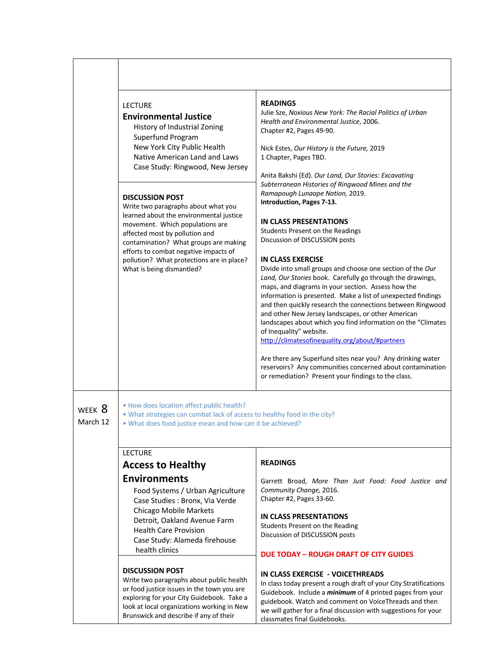|                    | <b>LECTURE</b><br><b>Environmental Justice</b><br>History of Industrial Zoning<br>Superfund Program<br>New York City Public Health<br>Native American Land and Laws<br>Case Study: Ringwood, New Jersey<br><b>DISCUSSION POST</b><br>Write two paragraphs about what you<br>learned about the environmental justice<br>movement. Which populations are<br>affected most by pollution and<br>contamination? What groups are making<br>efforts to combat negative impacts of<br>pollution? What protections are in place?<br>What is being dismantled? | <b>READINGS</b><br>Julie Sze, Noxious New York: The Racial Politics of Urban<br>Health and Environmental Justice, 2006.<br>Chapter #2, Pages 49-90.<br>Nick Estes, Our History is the Future, 2019<br>1 Chapter, Pages TBD.<br>Anita Bakshi (Ed). Our Land, Our Stories: Excavating<br>Subterranean Histories of Ringwood Mines and the<br>Ramapough Lunaape Nation, 2019.<br>Introduction, Pages 7-13.<br><b>IN CLASS PRESENTATIONS</b><br>Students Present on the Readings<br>Discussion of DISCUSSION posts<br><b>IN CLASS EXERCISE</b><br>Divide into small groups and choose one section of the Our<br>Land, Our Stories book. Carefully go through the drawings,<br>maps, and diagrams in your section. Assess how the<br>information is presented. Make a list of unexpected findings<br>and then quickly research the connections between Ringwood<br>and other New Jersey landscapes, or other American<br>landscapes about which you find information on the "Climates<br>of Inequality" website.<br>http://climatesofinequality.org/about/#partners<br>Are there any Superfund sites near you? Any drinking water<br>reservoirs? Any communities concerned about contamination<br>or remediation? Present your findings to the class. |
|--------------------|------------------------------------------------------------------------------------------------------------------------------------------------------------------------------------------------------------------------------------------------------------------------------------------------------------------------------------------------------------------------------------------------------------------------------------------------------------------------------------------------------------------------------------------------------|--------------------------------------------------------------------------------------------------------------------------------------------------------------------------------------------------------------------------------------------------------------------------------------------------------------------------------------------------------------------------------------------------------------------------------------------------------------------------------------------------------------------------------------------------------------------------------------------------------------------------------------------------------------------------------------------------------------------------------------------------------------------------------------------------------------------------------------------------------------------------------------------------------------------------------------------------------------------------------------------------------------------------------------------------------------------------------------------------------------------------------------------------------------------------------------------------------------------------------------------------|
| WEEK 8<br>March 12 | . How does location affect public health?<br>. What strategies can combat lack of access to healthy food in the city?<br>. What does food justice mean and how can it be achieved?                                                                                                                                                                                                                                                                                                                                                                   |                                                                                                                                                                                                                                                                                                                                                                                                                                                                                                                                                                                                                                                                                                                                                                                                                                                                                                                                                                                                                                                                                                                                                                                                                                                  |
|                    | <b>LECTURE</b>                                                                                                                                                                                                                                                                                                                                                                                                                                                                                                                                       |                                                                                                                                                                                                                                                                                                                                                                                                                                                                                                                                                                                                                                                                                                                                                                                                                                                                                                                                                                                                                                                                                                                                                                                                                                                  |
|                    | <b>Access to Healthy</b>                                                                                                                                                                                                                                                                                                                                                                                                                                                                                                                             | <b>READINGS</b>                                                                                                                                                                                                                                                                                                                                                                                                                                                                                                                                                                                                                                                                                                                                                                                                                                                                                                                                                                                                                                                                                                                                                                                                                                  |
|                    | <b>Environments</b><br>Food Systems / Urban Agriculture<br>Case Studies : Bronx, Via Verde<br><b>Chicago Mobile Markets</b><br>Detroit, Oakland Avenue Farm<br><b>Health Care Provision</b><br>Case Study: Alameda firehouse<br>health clinics                                                                                                                                                                                                                                                                                                       | Garrett Broad, More Than Just Food: Food Justice and<br>Community Change, 2016.<br>Chapter #2, Pages 33-60.<br><b>IN CLASS PRESENTATIONS</b><br>Students Present on the Reading<br>Discussion of DISCUSSION posts<br><b>DUE TODAY - ROUGH DRAFT OF CITY GUIDES</b>                                                                                                                                                                                                                                                                                                                                                                                                                                                                                                                                                                                                                                                                                                                                                                                                                                                                                                                                                                               |
|                    | <b>DISCUSSION POST</b><br>Write two paragraphs about public health<br>or food justice issues in the town you are<br>exploring for your City Guidebook. Take a<br>look at local organizations working in New<br>Brunswick and describe if any of their                                                                                                                                                                                                                                                                                                | IN CLASS EXERCISE - VOICETHREADS<br>In class today present a rough draft of your City Stratifications<br>Guidebook. Include a <i>minimum</i> of 4 printed pages from your<br>guidebook. Watch and comment on VoiceThreads and then<br>we will gather for a final discussion with suggestions for your<br>classmates final Guidebooks.                                                                                                                                                                                                                                                                                                                                                                                                                                                                                                                                                                                                                                                                                                                                                                                                                                                                                                            |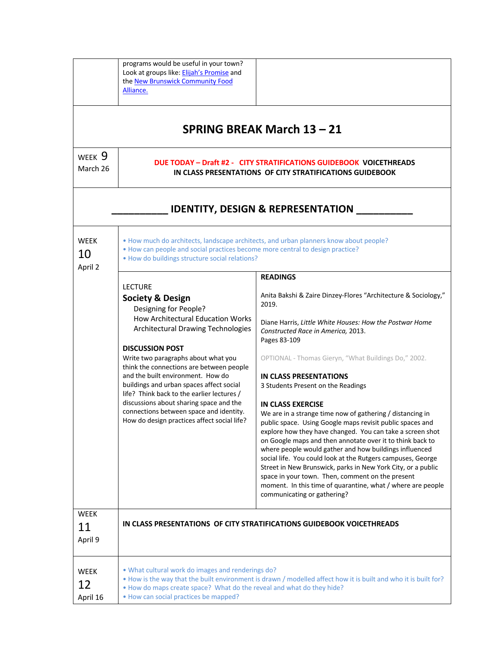|                               | programs would be useful in your town?<br>Look at groups like: Elijah's Promise and<br>the New Brunswick Community Food<br>Alliance.                                                                                                                                                                                                                                                                                                                                                                                               |                                                                                                                                                                                                                                                                                                                                                                                                                                                                                                                                                                                                                                                                                                                                                                                                                                                                                                                                                                        |
|-------------------------------|------------------------------------------------------------------------------------------------------------------------------------------------------------------------------------------------------------------------------------------------------------------------------------------------------------------------------------------------------------------------------------------------------------------------------------------------------------------------------------------------------------------------------------|------------------------------------------------------------------------------------------------------------------------------------------------------------------------------------------------------------------------------------------------------------------------------------------------------------------------------------------------------------------------------------------------------------------------------------------------------------------------------------------------------------------------------------------------------------------------------------------------------------------------------------------------------------------------------------------------------------------------------------------------------------------------------------------------------------------------------------------------------------------------------------------------------------------------------------------------------------------------|
|                               |                                                                                                                                                                                                                                                                                                                                                                                                                                                                                                                                    | SPRING BREAK March 13 - 21                                                                                                                                                                                                                                                                                                                                                                                                                                                                                                                                                                                                                                                                                                                                                                                                                                                                                                                                             |
| WEEK 9<br>March 26            | DUE TODAY - Draft #2 - CITY STRATIFICATIONS GUIDEBOOK VOICETHREADS<br>IN CLASS PRESENTATIONS OF CITY STRATIFICATIONS GUIDEBOOK                                                                                                                                                                                                                                                                                                                                                                                                     |                                                                                                                                                                                                                                                                                                                                                                                                                                                                                                                                                                                                                                                                                                                                                                                                                                                                                                                                                                        |
|                               |                                                                                                                                                                                                                                                                                                                                                                                                                                                                                                                                    | <b>IDENTITY, DESIGN &amp; REPRESENTATION</b>                                                                                                                                                                                                                                                                                                                                                                                                                                                                                                                                                                                                                                                                                                                                                                                                                                                                                                                           |
| <b>WEEK</b><br>10<br>April 2  | . How can people and social practices become more central to design practice?<br>. How do buildings structure social relations?                                                                                                                                                                                                                                                                                                                                                                                                    | . How much do architects, landscape architects, and urban planners know about people?                                                                                                                                                                                                                                                                                                                                                                                                                                                                                                                                                                                                                                                                                                                                                                                                                                                                                  |
|                               | <b>LECTURE</b><br><b>Society &amp; Design</b><br>Designing for People?<br>How Architectural Education Works<br>Architectural Drawing Technologies<br><b>DISCUSSION POST</b><br>Write two paragraphs about what you<br>think the connections are between people<br>and the built environment. How do<br>buildings and urban spaces affect social<br>life? Think back to the earlier lectures /<br>discussions about sharing space and the<br>connections between space and identity.<br>How do design practices affect social life? | <b>READINGS</b><br>Anita Bakshi & Zaire Dinzey-Flores "Architecture & Sociology,"<br>2019.<br>Diane Harris, Little White Houses: How the Postwar Home<br>Constructed Race in America, 2013.<br>Pages 83-109<br>OPTIONAL - Thomas Gieryn, "What Buildings Do," 2002.<br><b>IN CLASS PRESENTATIONS</b><br>3 Students Present on the Readings<br><b>IN CLASS EXERCISE</b><br>We are in a strange time now of gathering / distancing in<br>public space.  Using Google maps revisit public spaces and<br>explore how they have changed. You can take a screen shot<br>on Google maps and then annotate over it to think back to<br>where people would gather and how buildings influenced<br>social life. You could look at the Rutgers campuses, George<br>Street in New Brunswick, parks in New York City, or a public<br>space in your town. Then, comment on the present<br>moment. In this time of quarantine, what / where are people<br>communicating or gathering? |
| <b>WEEK</b><br>11<br>April 9  |                                                                                                                                                                                                                                                                                                                                                                                                                                                                                                                                    | IN CLASS PRESENTATIONS OF CITY STRATIFICATIONS GUIDEBOOK VOICETHREADS                                                                                                                                                                                                                                                                                                                                                                                                                                                                                                                                                                                                                                                                                                                                                                                                                                                                                                  |
| <b>WEEK</b><br>12<br>April 16 | . What cultural work do images and renderings do?<br>. How do maps create space? What do the reveal and what do they hide?<br>• How can social practices be mapped?                                                                                                                                                                                                                                                                                                                                                                | . How is the way that the built environment is drawn / modelled affect how it is built and who it is built for?                                                                                                                                                                                                                                                                                                                                                                                                                                                                                                                                                                                                                                                                                                                                                                                                                                                        |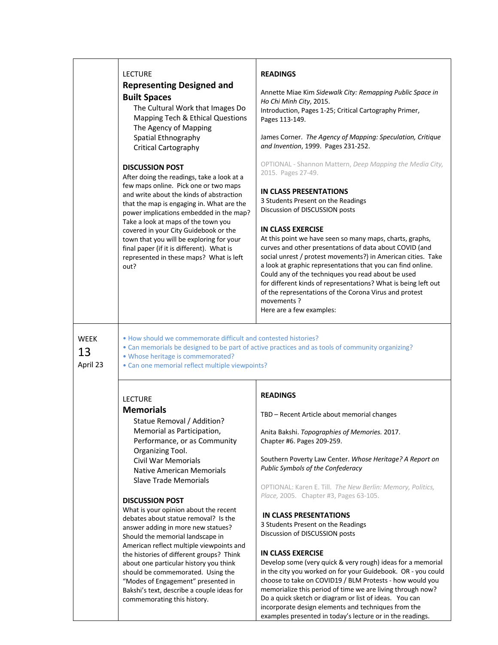|                               | <b>LECTURE</b><br><b>Representing Designed and</b><br><b>Built Spaces</b><br>The Cultural Work that Images Do<br>Mapping Tech & Ethical Questions<br>The Agency of Mapping<br>Spatial Ethnography<br>Critical Cartography<br><b>DISCUSSION POST</b><br>After doing the readings, take a look at a<br>few maps online. Pick one or two maps<br>and write about the kinds of abstraction<br>that the map is engaging in. What are the<br>power implications embedded in the map?<br>Take a look at maps of the town you<br>covered in your City Guidebook or the<br>town that you will be exploring for your<br>final paper (if it is different). What is<br>represented in these maps? What is left<br>out?                          | <b>READINGS</b><br>Annette Miae Kim Sidewalk City: Remapping Public Space in<br>Ho Chi Minh City, 2015.<br>Introduction, Pages 1-25; Critical Cartography Primer,<br>Pages 113-149.<br>James Corner. The Agency of Mapping: Speculation, Critique<br>and Invention, 1999. Pages 231-252.<br>OPTIONAL - Shannon Mattern, Deep Mapping the Media City,<br>2015. Pages 27-49.<br><b>IN CLASS PRESENTATIONS</b><br>3 Students Present on the Readings<br>Discussion of DISCUSSION posts<br><b>IN CLASS EXERCISE</b><br>At this point we have seen so many maps, charts, graphs,<br>curves and other presentations of data about COVID (and<br>social unrest / protest movements?) in American cities. Take<br>a look at graphic representations that you can find online.<br>Could any of the techniques you read about be used<br>for different kinds of representations? What is being left out<br>of the representations of the Corona Virus and protest<br>movements?<br>Here are a few examples: |
|-------------------------------|-------------------------------------------------------------------------------------------------------------------------------------------------------------------------------------------------------------------------------------------------------------------------------------------------------------------------------------------------------------------------------------------------------------------------------------------------------------------------------------------------------------------------------------------------------------------------------------------------------------------------------------------------------------------------------------------------------------------------------------|---------------------------------------------------------------------------------------------------------------------------------------------------------------------------------------------------------------------------------------------------------------------------------------------------------------------------------------------------------------------------------------------------------------------------------------------------------------------------------------------------------------------------------------------------------------------------------------------------------------------------------------------------------------------------------------------------------------------------------------------------------------------------------------------------------------------------------------------------------------------------------------------------------------------------------------------------------------------------------------------------|
| <b>WEEK</b><br>13<br>April 23 | • How should we commemorate difficult and contested histories?<br>. Whose heritage is commemorated?<br>• Can one memorial reflect multiple viewpoints?                                                                                                                                                                                                                                                                                                                                                                                                                                                                                                                                                                              | . Can memorials be designed to be part of active practices and as tools of community organizing?                                                                                                                                                                                                                                                                                                                                                                                                                                                                                                                                                                                                                                                                                                                                                                                                                                                                                                  |
|                               | <b>LECTURE</b><br><b>Memorials</b><br>Statue Removal / Addition?<br>Memorial as Participation,<br>Performance, or as Community<br>Organizing Tool.<br><b>Civil War Memorials</b><br><b>Native American Memorials</b><br><b>Slave Trade Memorials</b><br><b>DISCUSSION POST</b><br>What is your opinion about the recent<br>debates about statue removal? Is the<br>answer adding in more new statues?<br>Should the memorial landscape in<br>American reflect multiple viewpoints and<br>the histories of different groups? Think<br>about one particular history you think<br>should be commemorated. Using the<br>"Modes of Engagement" presented in<br>Bakshi's text, describe a couple ideas for<br>commemorating this history. | <b>READINGS</b><br>TBD - Recent Article about memorial changes<br>Anita Bakshi. Topographies of Memories. 2017.<br>Chapter #6. Pages 209-259.<br>Southern Poverty Law Center. Whose Heritage? A Report on<br>Public Symbols of the Confederacy<br>OPTIONAL: Karen E. Till. The New Berlin: Memory, Politics,<br>Place, 2005. Chapter #3, Pages 63-105.<br><b>IN CLASS PRESENTATIONS</b><br>3 Students Present on the Readings<br>Discussion of DISCUSSION posts<br><b>IN CLASS EXERCISE</b><br>Develop some (very quick & very rough) ideas for a memorial<br>in the city you worked on for your Guidebook. OR - you could<br>choose to take on COVID19 / BLM Protests - how would you<br>memorialize this period of time we are living through now?<br>Do a quick sketch or diagram or list of ideas. You can                                                                                                                                                                                    |